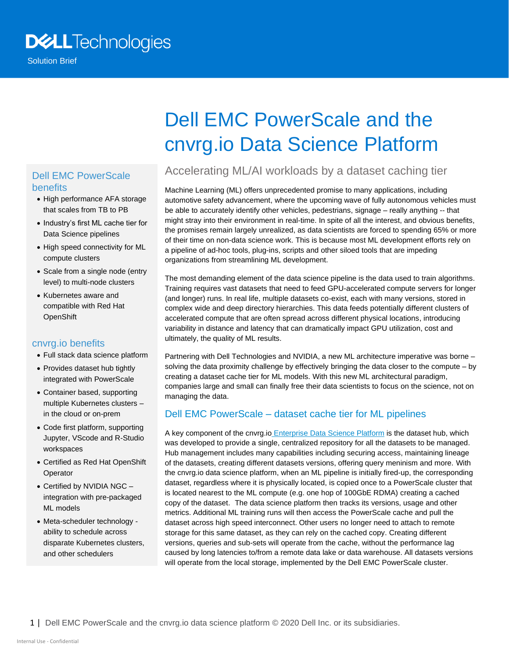## **DELL**Technologies

Solution Brief

#### Dell EMC PowerScale benefits

- High performance AFA storage that scales from TB to PB
- Industry's first ML cache tier for Data Science pipelines
- High speed connectivity for ML compute clusters
- Scale from a single node (entry level) to multi-node clusters
- Kubernetes aware and compatible with Red Hat **OpenShift**

#### cnvrg.io benefits

- Full stack data science platform
- Provides dataset hub tightly integrated with PowerScale
- Container based, supporting multiple Kubernetes clusters – in the cloud or on-prem
- Code first platform, supporting Jupyter, VScode and R-Studio workspaces
- Certified as Red Hat OpenShift **Operator**
- Certified by NVIDIA NGC integration with pre-packaged ML models
- Meta-scheduler technology ability to schedule across disparate Kubernetes clusters, and other schedulers

# Dell EMC PowerScale and the cnvrg.io Data Science Platform

### Accelerating ML/AI workloads by a dataset caching tier

Machine Learning (ML) offers unprecedented promise to many applications, including automotive safety advancement, where the upcoming wave of fully autonomous vehicles must be able to accurately identify other vehicles, pedestrians, signage – really anything -- that might stray into their environment in real-time. In spite of all the interest, and obvious benefits, the promises remain largely unrealized, as data scientists are forced to spending 65% or more of their time on non-data science work. This is because most ML development efforts rely on a pipeline of ad-hoc tools, plug-ins, scripts and other siloed tools that are impeding organizations from streamlining ML development.

The most demanding element of the data science pipeline is the data used to train algorithms. Training requires vast datasets that need to feed GPU-accelerated compute servers for longer (and longer) runs. In real life, multiple datasets co-exist, each with many versions, stored in complex wide and deep directory hierarchies. This data feeds potentially different clusters of accelerated compute that are often spread across different physical locations, introducing variability in distance and latency that can dramatically impact GPU utilization, cost and ultimately, the quality of ML results.

Partnering with Dell Technologies and NVIDIA, a new ML architecture imperative was borne – solving the data proximity challenge by effectively bringing the data closer to the compute – by creating a dataset cache tier for ML models. With this new ML architectural paradigm, companies large and small can finally free their data scientists to focus on the science, not on managing the data.

#### Dell EMC PowerScale – dataset cache tier for ML pipelines

A key component of the cnvrg.io [Enterprise Data Science Platform](https://cnvrg.io/enterprise/) is the dataset hub, which was developed to provide a single, centralized repository for all the datasets to be managed. Hub management includes many capabilities including securing access, maintaining lineage of the datasets, creating different datasets versions, offering query meninism and more. With the cnvrg.io data science platform, when an ML pipeline is initially fired-up, the corresponding dataset, regardless where it is physically located, is copied once to a PowerScale cluster that is located nearest to the ML compute (e.g. one hop of 100GbE RDMA) creating a cached copy of the dataset. The data science platform then tracks its versions, usage and other metrics. Additional ML training runs will then access the PowerScale cache and pull the dataset across high speed interconnect. Other users no longer need to attach to remote storage for this same dataset, as they can rely on the cached copy. Creating different versions, queries and sub-sets will operate from the cache, without the performance lag caused by long latencies to/from a remote data lake or data warehouse. All datasets versions will operate from the local storage, implemented by the Dell EMC PowerScale cluster.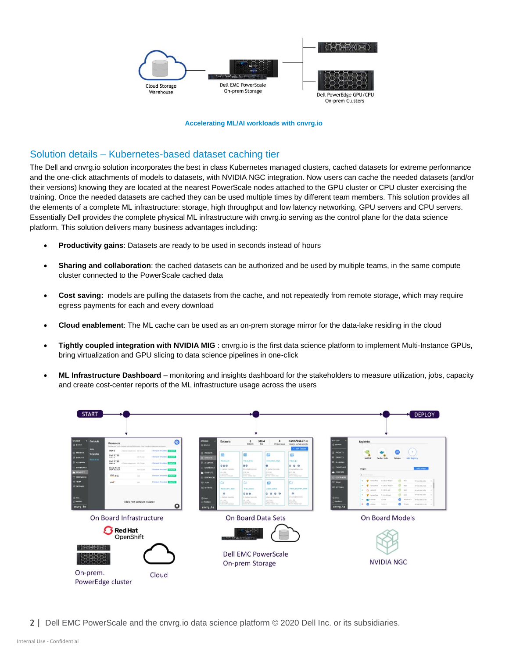

#### **Accelerating ML/AI workloads with cnvrg.io**

#### Solution details – Kubernetes-based dataset caching tier

The Dell and cnvrg.io solution incorporates the best in class Kubernetes managed clusters, cached datasets for extreme performance and the one-click attachments of models to datasets, with NVIDIA NGC integration. Now users can cache the needed datasets (and/or their versions) knowing they are located at the nearest PowerScale nodes attached to the GPU cluster or CPU cluster exercising the training. Once the needed datasets are cached they can be used multiple times by different team members. This solution provides all the elements of a complete ML infrastructure: storage, high throughput and low latency networking, GPU servers and CPU servers. Essentially Dell provides the complete physical ML infrastructure with cnvrg.io serving as the control plane for the data science platform. This solution delivers many business advantages including:

- **Productivity gains**: Datasets are ready to be used in seconds instead of hours
- **Sharing and collaboration**: the cached datasets can be authorized and be used by multiple teams, in the same compute cluster connected to the PowerScale cached data
- **Cost saving:** models are pulling the datasets from the cache, and not repeatedly from remote storage, which may require egress payments for each and every download
- **Cloud enablement**: The ML cache can be used as an on-prem storage mirror for the data-lake residing in the cloud
- **Tightly coupled integration with NVIDIA MIG** : cnvrg.io is the first data science platform to implement Multi-Instance GPUs, bring virtualization and GPU slicing to data science pipelines in one-click
- **ML Infrastructure Dashboard** monitoring and insights dashboard for the stakeholders to measure utilization, jobs, capacity and create cost-center reports of the ML infrastructure usage across the users



2 | Dell EMC PowerScale and the cnvrg.io data science platform © 2020 Dell Inc. or its subsidiaries.